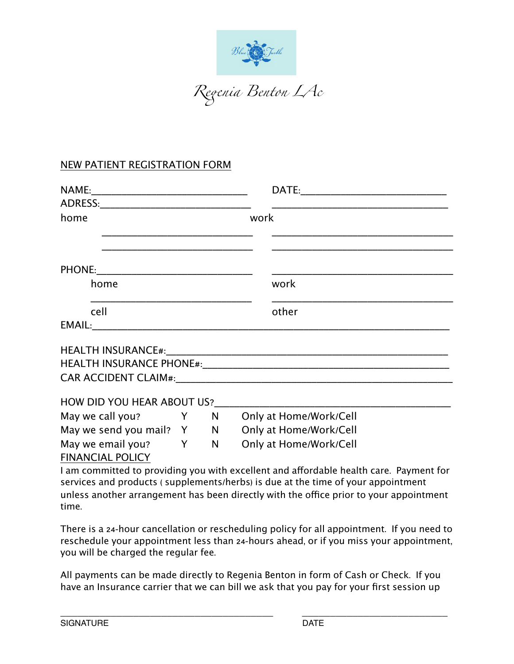

# NEW PATIENT REGISTRATION FORM

| home                       |                     | work                                                                                   |
|----------------------------|---------------------|----------------------------------------------------------------------------------------|
|                            |                     |                                                                                        |
|                            |                     |                                                                                        |
|                            |                     |                                                                                        |
| home                       |                     | work                                                                                   |
| cell                       |                     | other                                                                                  |
|                            |                     |                                                                                        |
|                            |                     |                                                                                        |
|                            |                     |                                                                                        |
|                            |                     |                                                                                        |
| HOW DID YOU HEAR ABOUT US? |                     |                                                                                        |
| May we call you?           | <b>Solution</b> Y N | Only at Home/Work/Cell                                                                 |
|                            |                     | May we send you mail? Y N Only at Home/Work/Cell                                       |
|                            |                     | May we email you? Y N Only at Home/Work/Cell                                           |
| <b>FINANCIAL POLICY</b>    |                     |                                                                                        |
|                            |                     | I am committed to providing you with excellent and affordable health care. Payment for |

I am committed to providing you with excellent and affordable health care. Payment for services and products ( supplements/herbs) is due at the time of your appointment unless another arrangement has been directly with the office prior to your appointment time.

There is a 24-hour cancellation or rescheduling policy for all appointment. If you need to reschedule your appointment less than 24-hours ahead, or if you miss your appointment, you will be charged the regular fee.

All payments can be made directly to Regenia Benton in form of Cash or Check. If you have an Insurance carrier that we can bill we ask that you pay for your first session up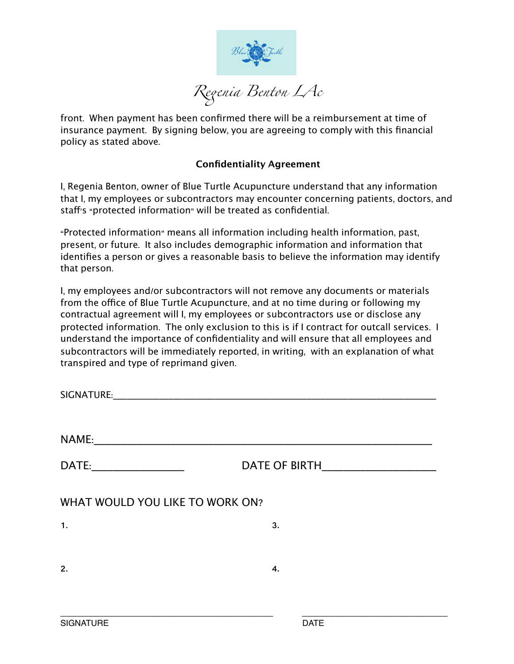

front. When payment has been confirmed there will be a reimbursement at time of insurance payment. By signing below, you are agreeing to comply with this financial policy as stated above.

## **Confidentiality Agreement**

I, Regenia Benton, owner of Blue Turtle Acupuncture understand that any information that I, my employees or subcontractors may encounter concerning patients, doctors, and staff's "protected information" will be treated as confidential.

"Protected information" means all information including health information, past, present, or future. It also includes demographic information and information that identifies a person or gives a reasonable basis to believe the information may identify that person.

I, my employees and/or subcontractors will not remove any documents or materials from the office of Blue Turtle Acupuncture, and at no time during or following my contractual agreement will I, my employees or subcontractors use or disclose any protected information. The only exclusion to this is if I contract for outcall services. I understand the importance of confidentiality and will ensure that all employees and subcontractors will be immediately reported, in writing, with an explanation of what transpired and type of reprimand given.

| DATE:____________________       | DATE OF BIRTH |
|---------------------------------|---------------|
| WHAT WOULD YOU LIKE TO WORK ON? |               |
| 1.                              | 3.            |
| 2.                              | 4.            |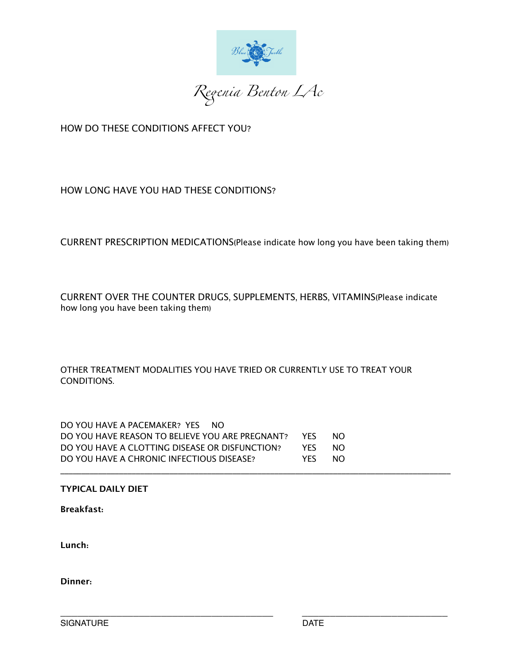

HOW DO THESE CONDITIONS AFFECT YOU?

# HOW LONG HAVE YOU HAD THESE CONDITIONS?

CURRENT PRESCRIPTION MEDICATIONS(Please indicate how long you have been taking them)

CURRENT OVER THE COUNTER DRUGS, SUPPLEMENTS, HERBS, VITAMINS(Please indicate how long you have been taking them)

OTHER TREATMENT MODALITIES YOU HAVE TRIED OR CURRENTLY USE TO TREAT YOUR CONDITIONS.

DO YOU HAVE A PACEMAKER? YES NO DO YOU HAVE REASON TO BELIEVE YOU ARE PREGNANT? YES NO DO YOU HAVE A CLOTTING DISEASE OR DISFUNCTION? YES NO DO YOU HAVE A CHRONIC INFECTIOUS DISEASE? YES NO \_\_\_\_\_\_\_\_\_\_\_\_\_\_\_\_\_\_\_\_\_\_\_\_\_\_\_\_\_\_\_\_\_\_\_\_\_\_\_\_\_\_\_\_\_\_\_\_\_\_\_\_\_\_\_\_\_\_\_\_\_\_\_\_\_\_\_\_\_\_\_\_\_\_\_\_\_\_\_\_\_\_\_\_\_\_\_\_\_\_\_\_\_

### **TYPICAL DAILY DIET**

**Breakfast:**

**Lunch:**

**Dinner:**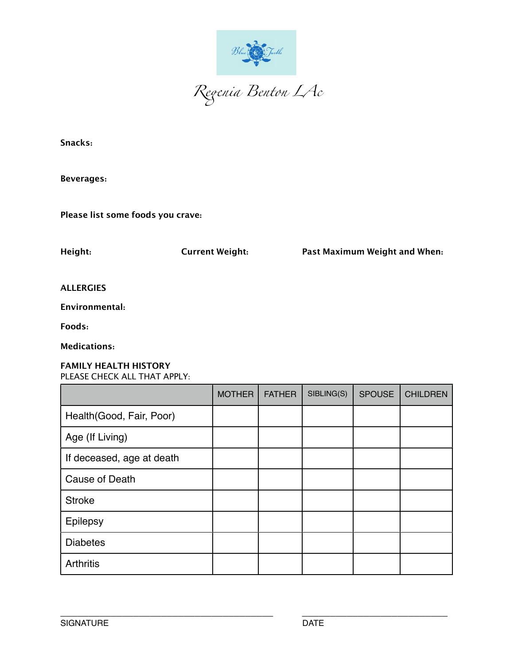

Snacks:

**Beverages:** 

Please list some foods you crave:

Height:

**Current Weight:** 

Past Maximum Weight and When:

**ALLERGIES** 

Environmental:

Foods:

**Medications:** 

### **FAMILY HEALTH HISTORY** PLEASE CHECK ALL THAT APPLY:

|                           | <b>MOTHER</b> | <b>FATHER</b> | SIBLING(S) | <b>SPOUSE</b> | <b>CHILDREN</b> |
|---------------------------|---------------|---------------|------------|---------------|-----------------|
| Health (Good, Fair, Poor) |               |               |            |               |                 |
| Age (If Living)           |               |               |            |               |                 |
| If deceased, age at death |               |               |            |               |                 |
| Cause of Death            |               |               |            |               |                 |
| <b>Stroke</b>             |               |               |            |               |                 |
| Epilepsy                  |               |               |            |               |                 |
| <b>Diabetes</b>           |               |               |            |               |                 |
| <b>Arthritis</b>          |               |               |            |               |                 |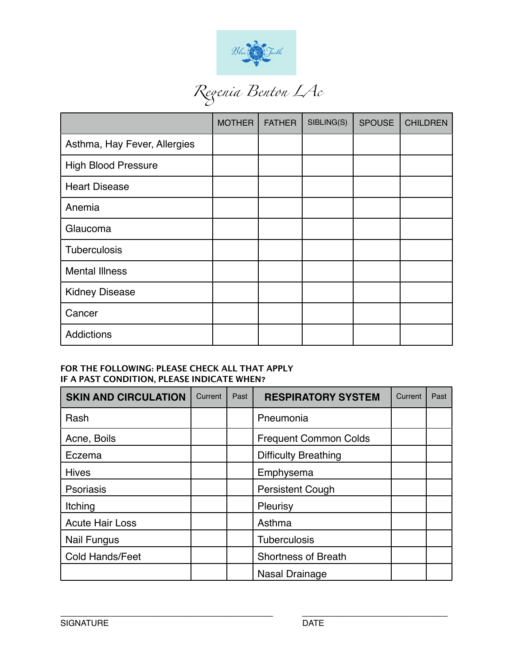

|                              | <b>MOTHER</b> | <b>FATHER</b> | SIBLING(S) | <b>SPOUSE</b> | <b>CHILDREN</b> |
|------------------------------|---------------|---------------|------------|---------------|-----------------|
| Asthma, Hay Fever, Allergies |               |               |            |               |                 |
| <b>High Blood Pressure</b>   |               |               |            |               |                 |
| <b>Heart Disease</b>         |               |               |            |               |                 |
| Anemia                       |               |               |            |               |                 |
| Glaucoma                     |               |               |            |               |                 |
| Tuberculosis                 |               |               |            |               |                 |
| <b>Mental Illness</b>        |               |               |            |               |                 |
| <b>Kidney Disease</b>        |               |               |            |               |                 |
| Cancer                       |               |               |            |               |                 |
| Addictions                   |               |               |            |               |                 |

### FOR THE FOLLOWING: PLEASE CHECK ALL THAT APPLY IF A PAST CONDITION, PLEASE INDICATE WHEN?

| <b>SKIN AND CIRCULATION</b> | Current | Past | <b>RESPIRATORY SYSTEM</b>    | Current | Past |
|-----------------------------|---------|------|------------------------------|---------|------|
| Rash                        |         |      | Pneumonia                    |         |      |
| Acne, Boils                 |         |      | <b>Frequent Common Colds</b> |         |      |
| Eczema                      |         |      | <b>Difficulty Breathing</b>  |         |      |
| <b>Hives</b>                |         |      | Emphysema                    |         |      |
| <b>Psoriasis</b>            |         |      | <b>Persistent Cough</b>      |         |      |
| Itching                     |         |      | Pleurisy                     |         |      |
| <b>Acute Hair Loss</b>      |         |      | Asthma                       |         |      |
| <b>Nail Fungus</b>          |         |      | <b>Tuberculosis</b>          |         |      |
| <b>Cold Hands/Feet</b>      |         |      | <b>Shortness of Breath</b>   |         |      |
|                             |         |      | Nasal Drainage               |         |      |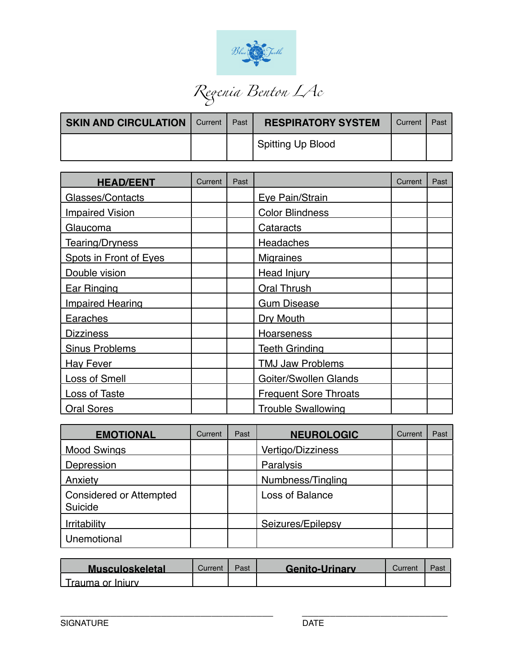

| <b>SKIN AND CIRCULATION</b> | <b>Current</b> | Past | <b>RESPIRATORY SYSTEM</b> | Current | Past |
|-----------------------------|----------------|------|---------------------------|---------|------|
|                             |                |      | Spitting Up Blood         |         |      |

| <b>HEAD/EENT</b>        | Current | Past |                              | Current | Past |
|-------------------------|---------|------|------------------------------|---------|------|
| Glasses/Contacts        |         |      | Eye Pain/Strain              |         |      |
| <b>Impaired Vision</b>  |         |      | <b>Color Blindness</b>       |         |      |
| Glaucoma                |         |      | Cataracts                    |         |      |
| Tearing/Dryness         |         |      | Headaches                    |         |      |
| Spots in Front of Eyes  |         |      | <b>Migraines</b>             |         |      |
| Double vision           |         |      | Head Injury                  |         |      |
| <b>Ear Ringing</b>      |         |      | <b>Oral Thrush</b>           |         |      |
| <b>Impaired Hearing</b> |         |      | <b>Gum Disease</b>           |         |      |
| Earaches                |         |      | Dry Mouth                    |         |      |
| <b>Dizziness</b>        |         |      | Hoarseness                   |         |      |
| <b>Sinus Problems</b>   |         |      | <b>Teeth Grinding</b>        |         |      |
| <b>Hay Fever</b>        |         |      | <b>TMJ Jaw Problems</b>      |         |      |
| <b>Loss of Smell</b>    |         |      | Goiter/Swollen Glands        |         |      |
| <b>Loss of Taste</b>    |         |      | <b>Frequent Sore Throats</b> |         |      |
| <b>Oral Sores</b>       |         |      | <b>Trouble Swallowing</b>    |         |      |

| <b>EMOTIONAL</b>                          | Current | Past | <b>NEUROLOGIC</b>        | Current | Past |
|-------------------------------------------|---------|------|--------------------------|---------|------|
| <b>Mood Swings</b>                        |         |      | <b>Vertigo/Dizziness</b> |         |      |
| Depression                                |         |      | Paralysis                |         |      |
| Anxiety                                   |         |      | Numbness/Tingling        |         |      |
| <b>Considered or Attempted</b><br>Suicide |         |      | Loss of Balance          |         |      |
| <b>Irritability</b>                       |         |      | Seizures/Epilepsy        |         |      |
| Unemotional                               |         |      |                          |         |      |

| <b>Musculoskeletal</b> | Current | Past | <b>Genito-Urinary</b> | ;urrent | Pas |
|------------------------|---------|------|-----------------------|---------|-----|
| Trauma or Iniury.      |         |      |                       |         |     |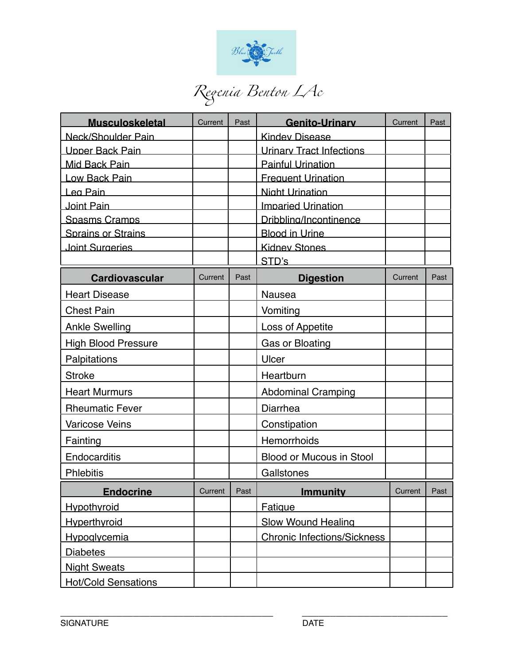

| <b>Musculoskeletal</b>     | Current | Past | <b>Genito-Urinary</b>              | Current | Past |
|----------------------------|---------|------|------------------------------------|---------|------|
| Neck/Shoulder Pain         |         |      | <b>Kindev Disease</b>              |         |      |
| Upper Back Pain            |         |      | <b>Urinary Tract Infections</b>    |         |      |
| Mid Back Pain              |         |      | <b>Painful Urination</b>           |         |      |
| Low Back Pain              |         |      | <b>Frequent Urination</b>          |         |      |
| Lea Pain                   |         |      | Night Urination                    |         |      |
| Joint Pain                 |         |      | <b>Imparied Urination</b>          |         |      |
| Spasms Cramps              |         |      | Dribbling/Incontinence             |         |      |
| Sprains or Strains         |         |      | Blood in Urine                     |         |      |
| Joint Surgeries            |         |      | <b>Kidnev Stones</b>               |         |      |
|                            |         |      | STD's                              |         |      |
| <b>Cardiovascular</b>      | Current | Past | <b>Digestion</b>                   | Current | Past |
| <b>Heart Disease</b>       |         |      | <b>Nausea</b>                      |         |      |
| <b>Chest Pain</b>          |         |      | Vomiting                           |         |      |
| <b>Ankle Swelling</b>      |         |      | Loss of Appetite                   |         |      |
| <b>High Blood Pressure</b> |         |      | <b>Gas or Bloating</b>             |         |      |
| Palpitations               |         |      | Ulcer                              |         |      |
| <b>Stroke</b>              |         |      | Heartburn                          |         |      |
| <b>Heart Murmurs</b>       |         |      | <b>Abdominal Cramping</b>          |         |      |
| <b>Rheumatic Fever</b>     |         |      | Diarrhea                           |         |      |
| <b>Varicose Veins</b>      |         |      | Constipation                       |         |      |
| Fainting                   |         |      | Hemorrhoids                        |         |      |
| Endocarditis               |         |      | <b>Blood or Mucous in Stool</b>    |         |      |
| <b>Phlebitis</b>           |         |      | Gallstones                         |         |      |
| <b>Endocrine</b>           | Current | Past | <b>Immunity</b>                    | Current | Past |
| <b>Hypothyroid</b>         |         |      | Fatigue                            |         |      |
| <b>Hyperthyroid</b>        |         |      | <b>Slow Wound Healing</b>          |         |      |
| <b>Hypoglycemia</b>        |         |      | <b>Chronic Infections/Sickness</b> |         |      |
| <b>Diabetes</b>            |         |      |                                    |         |      |
| <b>Night Sweats</b>        |         |      |                                    |         |      |
| <b>Hot/Cold Sensations</b> |         |      |                                    |         |      |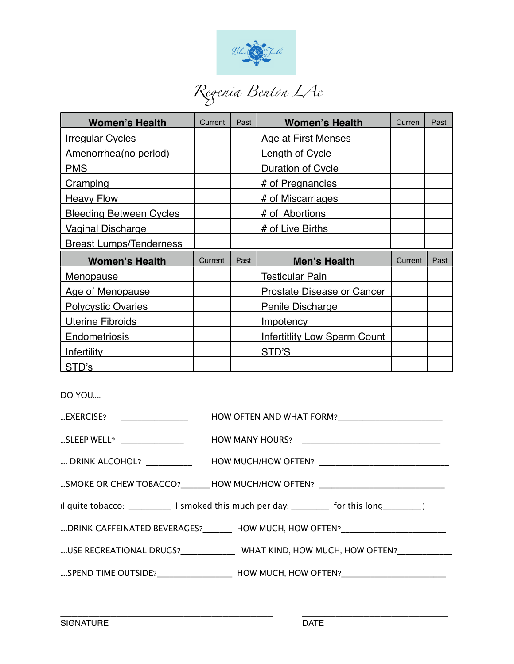

# *Re*!*nia Benton LAc*

| <b>Women's Health</b>          | Current | Past | <b>Women's Health</b>               | Curren  | Past |
|--------------------------------|---------|------|-------------------------------------|---------|------|
| <b>Irregular Cycles</b>        |         |      | Age at First Menses                 |         |      |
| Amenorrhea (no period)         |         |      | Length of Cycle                     |         |      |
| <b>PMS</b>                     |         |      | <b>Duration of Cycle</b>            |         |      |
| <b>Cramping</b>                |         |      | # of Pregnancies                    |         |      |
| <b>Heavy Flow</b>              |         |      | # of Miscarriages                   |         |      |
| <b>Bleeding Between Cycles</b> |         |      | # of Abortions                      |         |      |
| <b>Vaginal Discharge</b>       |         |      | # of Live Births                    |         |      |
| <b>Breast Lumps/Tenderness</b> |         |      |                                     |         |      |
| <b>Women's Health</b>          | Current | Past | <b>Men's Health</b>                 | Current | Past |
| <u>Menopause</u>               |         |      | Testicular Pain                     |         |      |
| <b>Age of Menopause</b>        |         |      | <b>Prostate Disease or Cancer</b>   |         |      |
| <b>Polycystic Ovaries</b>      |         |      | <b>Penile Discharge</b>             |         |      |
| <b>Uterine Fibroids</b>        |         |      | <b>Impotency</b>                    |         |      |
| <b>Endometriosis</b>           |         |      | <b>Infertitlity Low Sperm Count</b> |         |      |
| Infertility                    |         |      | STD'S                               |         |      |
| STD's                          |         |      |                                     |         |      |

DO YOU.....

| EXERCISE? ___________________ |                                                                                                       |
|-------------------------------|-------------------------------------------------------------------------------------------------------|
|                               | SLEEP WELL? _________________    HOW MANY HOURS?  ___________________________                         |
|                               | DRINK ALCOHOL? ____________  HOW MUCH/HOW OFTEN? __________________________                           |
|                               | SMOKE OR CHEW TOBACCO?________HOW MUCH/HOW OFTEN? __________________________                          |
|                               | (I quite tobacco: _______________ I smoked this much per day: ___________ for this long____________)  |
|                               | DRINK CAFFEINATED BEVERAGES? _______ HOW MUCH, HOW OFTEN? __________________                          |
|                               | USE RECREATIONAL DRUGS?______________WHAT KIND, HOW MUCH, HOW OFTEN?________                          |
|                               | SPEND TIME OUTSIDE?_________________________________HOW MUCH, HOW OFTEN?_____________________________ |
|                               |                                                                                                       |